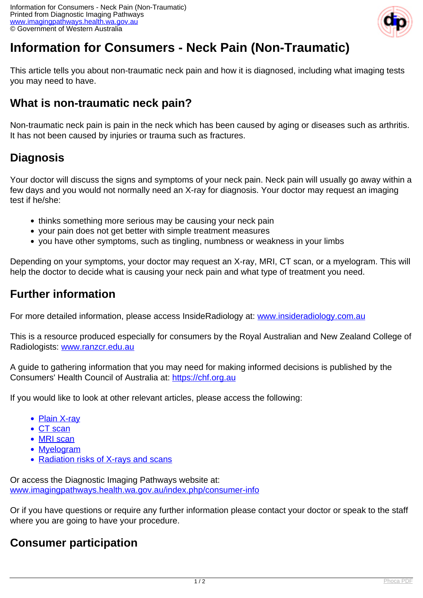

# **Information for Consumers - Neck Pain (Non-Traumatic)**

This article tells you about non-traumatic neck pain and how it is diagnosed, including what imaging tests you may need to have.

## **What is non-traumatic neck pain?**

Non-traumatic neck pain is pain in the neck which has been caused by aging or diseases such as arthritis. It has not been caused by injuries or trauma such as fractures.

# **Diagnosis**

Your doctor will discuss the signs and symptoms of your neck pain. Neck pain will usually go away within a few days and you would not normally need an X-ray for diagnosis. Your doctor may request an imaging test if he/she:

- thinks something more serious may be causing your neck pain
- your pain does not get better with simple treatment measures
- you have other symptoms, such as tingling, numbness or weakness in your limbs

Depending on your symptoms, your doctor may request an X-ray, MRI, CT scan, or a myelogram. This will help the doctor to decide what is causing your neck pain and what type of treatment you need.

# **Further information**

For more detailed information, please access InsideRadiology at: [www.insideradiology.com.au](http://www.insideradiology.com.au/)

This is a resource produced especially for consumers by the Royal Australian and New Zealand College of Radiologists: [www.ranzcr.edu.au](http://www.ranzcr.edu.au/)

A guide to gathering information that you may need for making informed decisions is published by the Consumers' Health Council of Australia at: <https://chf.org.au>

If you would like to look at other relevant articles, please access the following:

- [Plain X-ray](index.php/consumer-info/imaging-procedures/x-ray)
- [CT scan](index.php/consumer-info/imaging-procedures/ct-scan)
- [MRI scan](index.php/consumer-info/imaging-procedures/magnetic-resonance-imaging-mri)
- [Myelogram](index.php/consumer-info/imaging-procedures/myelogram)
- [Radiation risks of X-rays and scans](index.php/consumer-info/general-information-about-diagnostic-imaging/radiation-risks-of-x-rays-and-scans)

Or access the Diagnostic Imaging Pathways website at: [www.imagingpathways.health.wa.gov.au/index.php/consumer-info](index.php/consumer-info)

Or if you have questions or require any further information please contact your doctor or speak to the staff where you are going to have your procedure.

### **Consumer participation**